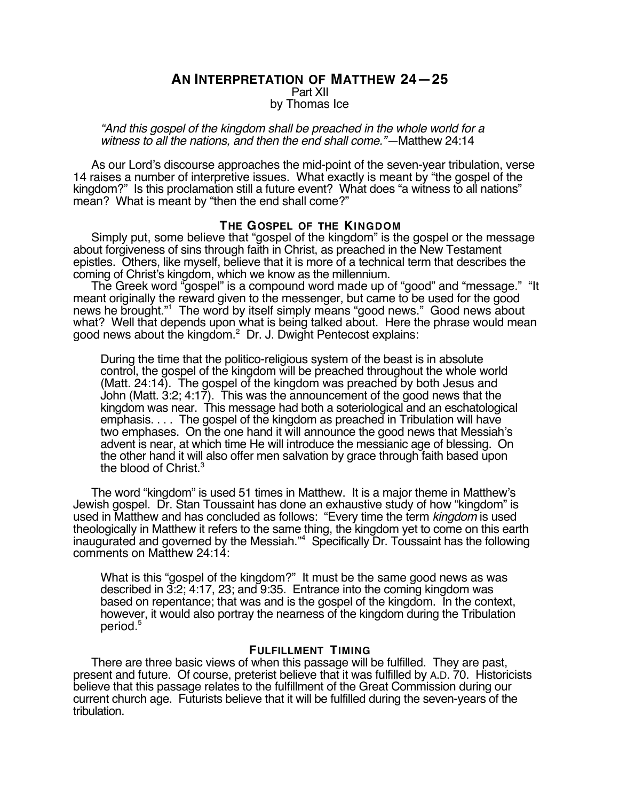# **AN INTERPRETATION OF MATTHEW 24—25** Part XII by Thomas Ice

"And this gospel of the kingdom shall be preached in the whole world for a witness to all the nations, and then the end shall come."—Matthew 24:14

As our Lord's discourse approaches the mid-point of the seven-year tribulation, verse 14 raises a number of interpretive issues. What exactly is meant by "the gospel of the kingdom?" Is this proclamation still a future event? What does "a witness to all nations" mean? What is meant by "then the end shall come?"

## **THE GOSPEL OF THE KINGDOM**

Simply put, some believe that "gospel of the kingdom" is the gospel or the message about forgiveness of sins through faith in Christ, as preached in the New Testament epistles. Others, like myself, believe that it is more of a technical term that describes the coming of Christ's kingdom, which we know as the millennium.

The Greek word "gospel" is a compound word made up of "good" and "message." "It meant originally the reward given to the messenger, but came to be used for the good news he brought."1 The word by itself simply means "good news." Good news about what? Well that depends upon what is being talked about. Here the phrase would mean good news about the kingdom.<sup>2</sup> Dr. J. Dwight Pentecost explains:

During the time that the politico-religious system of the beast is in absolute control, the gospel of the kingdom will be preached throughout the whole world (Matt. 24:14). The gospel of the kingdom was preached by both Jesus and John (Matt. 3:2; 4:17). This was the announcement of the good news that the kingdom was near. This message had both a soteriological and an eschatological emphasis. . . . The gospel of the kingdom as preached in Tribulation will have two emphases. On the one hand it will announce the good news that Messiah's advent is near, at which time He will introduce the messianic age of blessing. On the other hand it will also offer men salvation by grace through faith based upon the blood of Christ.<sup>3</sup>

The word "kingdom" is used 51 times in Matthew. It is a major theme in Matthew's Jewish gospel. Dr. Stan Toussaint has done an exhaustive study of how "kingdom" is used in Matthew and has concluded as follows: "Every time the term kingdom is used theologically in Matthew it refers to the same thing, the kingdom yet to come on this earth inaugurated and governed by the Messiah."4 Specifically Dr. Toussaint has the following comments on Matthew 24:14:

What is this "gospel of the kingdom?" It must be the same good news as was described in 3:2; 4:17, 23; and 9:35. Entrance into the coming kingdom was based on repentance; that was and is the gospel of the kingdom. In the context, however, it would also portray the nearness of the kingdom during the Tribulation period.5

# **FULFILLMENT TIMING**

There are three basic views of when this passage will be fulfilled. They are past, present and future. Of course, preterist believe that it was fulfilled by A.D. 70. Historicists believe that this passage relates to the fulfillment of the Great Commission during our current church age. Futurists believe that it will be fulfilled during the seven-years of the tribulation.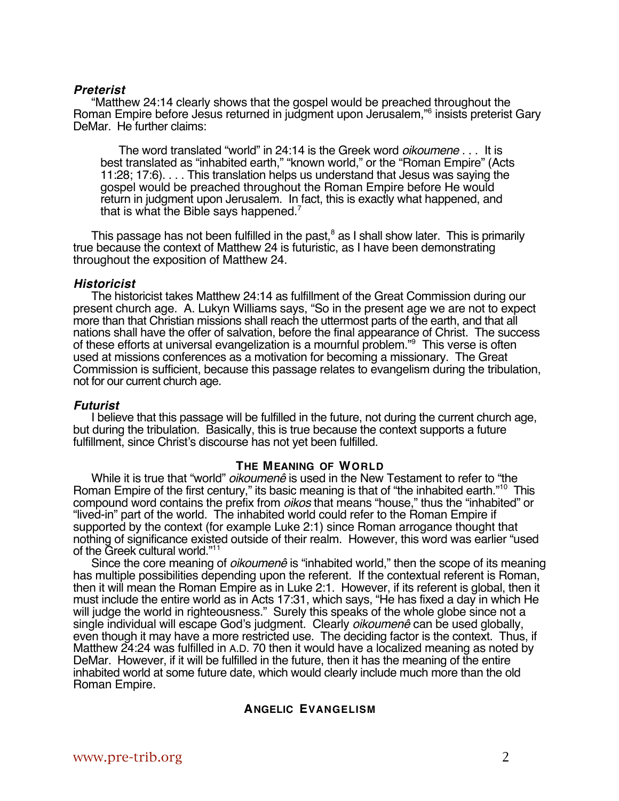## **Preterist**

"Matthew 24:14 clearly shows that the gospel would be preached throughout the Roman Empire before Jesus returned in judgment upon Jerusalem,"6 insists preterist Gary DeMar. He further claims:

The word translated "world" in 24:14 is the Greek word *oikoumene* . . . It is best translated as "inhabited earth," "known world," or the "Roman Empire" (Acts 11:28; 17:6). . . . This translation helps us understand that Jesus was saying the gospel would be preached throughout the Roman Empire before He would return in judgment upon Jerusalem. In fact, this is exactly what happened, and that is what the Bible says happened.7

This passage has not been fulfilled in the past, $^8$  as I shall show later. This is primarily true because the context of Matthew 24 is futuristic, as I have been demonstrating throughout the exposition of Matthew 24.

#### **Historicist**

The historicist takes Matthew 24:14 as fulfillment of the Great Commission during our present church age. A. Lukyn Williams says, "So in the present age we are not to expect more than that Christian missions shall reach the uttermost parts of the earth, and that all nations shall have the offer of salvation, before the final appearance of Christ. The success of these efforts at universal evangelization is a mournful problem."<sup>9</sup> This verse is often used at missions conferences as a motivation for becoming a missionary. The Great Commission is sufficient, because this passage relates to evangelism during the tribulation, not for our current church age.

## **Futurist**

I believe that this passage will be fulfilled in the future, not during the current church age, but during the tribulation. Basically, this is true because the context supports a future fulfillment, since Christ's discourse has not yet been fulfilled.

## **THE MEANING OF WORLD**

While it is true that "world" *oikoumenê* is used in the New Testament to refer to "the Roman Empire of the first century," its basic meaning is that of "the inhabited earth."<sup>10</sup> This compound word contains the prefix from *oikos* that means "house," thus the "inhabited" or "lived-in" part of the world. The inhabited world could refer to the Roman Empire if supported by the context (for example Luke 2:1) since Roman arrogance thought that nothing of significance existed outside of their realm. However, this word was earlier "used of the Greek cultural world."11

Since the core meaning of *oikoumenê* is "inhabited world," then the scope of its meaning has multiple possibilities depending upon the referent. If the contextual referent is Roman, then it will mean the Roman Empire as in Luke 2:1. However, if its referent is global, then it must include the entire world as in Acts 17:31, which says, "He has fixed a day in which He will judge the world in righteousness." Surely this speaks of the whole globe since not a single individual will escape God's judgment. Clearly *oikoumenê* can be used globally, even though it may have a more restricted use. The deciding factor is the context. Thus, if Matthew 24:24 was fulfilled in A.D. 70 then it would have a localized meaning as noted by DeMar. However, if it will be fulfilled in the future, then it has the meaning of the entire inhabited world at some future date, which would clearly include much more than the old Roman Empire.

## **ANGELIC EVANGELISM**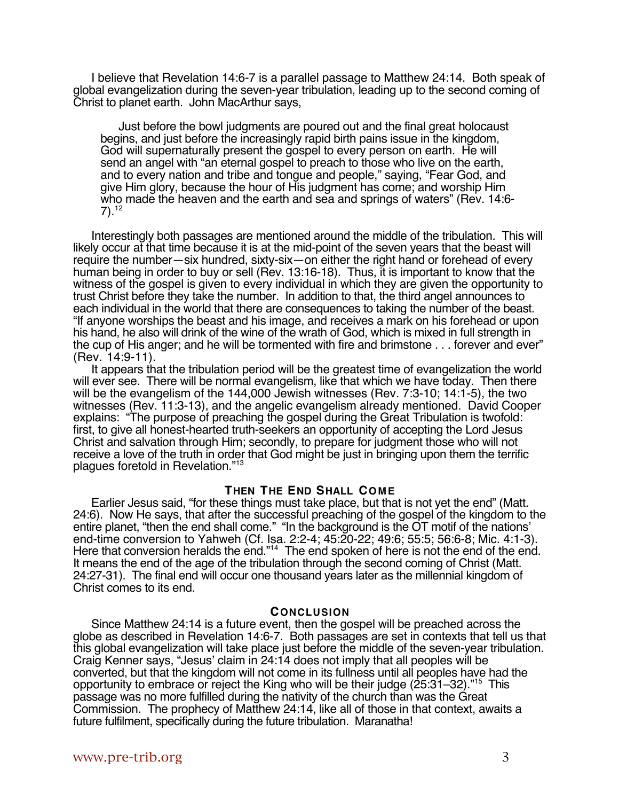I believe that Revelation 14:6-7 is a parallel passage to Matthew 24:14. Both speak of global evangelization during the seven-year tribulation, leading up to the second coming of Christ to planet earth. John MacArthur says,

Just before the bowl judgments are poured out and the final great holocaust begins, and just before the increasingly rapid birth pains issue in the kingdom, God will supernaturally present the gospel to every person on earth. He will send an angel with "an eternal gospel to preach to those who live on the earth, and to every nation and tribe and tongue and people," saying, "Fear God, and give Him glory, because the hour of His judgment has come; and worship Him who made the heaven and the earth and sea and springs of waters" (Rev. 14:6-  $7)$ .<sup>12</sup>

Interestingly both passages are mentioned around the middle of the tribulation. This will likely occur at that time because it is at the mid-point of the seven years that the beast will require the number—six hundred, sixty-six—on either the right hand or forehead of every human being in order to buy or sell (Rev. 13:16-18). Thus, it is important to know that the witness of the gospel is given to every individual in which they are given the opportunity to trust Christ before they take the number. In addition to that, the third angel announces to each individual in the world that there are consequences to taking the number of the beast. "If anyone worships the beast and his image, and receives a mark on his forehead or upon his hand, he also will drink of the wine of the wrath of God, which is mixed in full strength in the cup of His anger; and he will be tormented with fire and brimstone . . . forever and ever" (Rev. 14:9-11).

It appears that the tribulation period will be the greatest time of evangelization the world will ever see. There will be normal evangelism, like that which we have today. Then there will be the evangelism of the 144,000 Jewish witnesses (Rev. 7:3-10; 14:1-5), the two witnesses (Rev. 11:3-13), and the angelic evangelism already mentioned. David Cooper explains: "The purpose of preaching the gospel during the Great Tribulation is twofold: first, to give all honest-hearted truth-seekers an opportunity of accepting the Lord Jesus Christ and salvation through Him; secondly, to prepare for judgment those who will not receive a love of the truth in order that God might be just in bringing upon them the terrific plagues foretold in Revelation."13

## **THEN THE END SHALL COME**

Earlier Jesus said, "for these things must take place, but that is not yet the end" (Matt. 24:6). Now He says, that after the successful preaching of the gospel of the kingdom to the entire planet, "then the end shall come." "In the background is the OT motif of the nations' end-time conversion to Yahweh (Cf. Isa. 2:2-4; 45:20-22; 49:6; 55:5; 56:6-8; Mic. 4:1-3). Here that conversion heralds the end."<sup>14</sup> The end spoken of here is not the end of the end. It means the end of the age of the tribulation through the second coming of Christ (Matt. 24:27-31). The final end will occur one thousand years later as the millennial kingdom of Christ comes to its end.

#### **CONCLUSION**

Since Matthew 24:14 is a future event, then the gospel will be preached across the globe as described in Revelation 14:6-7. Both passages are set in contexts that tell us that this global evangelization will take place just before the middle of the seven-year tribulation. Craig Kenner says, "Jesus' claim in 24:14 does not imply that all peoples will be converted, but that the kingdom will not come in its fullness until all peoples have had the opportunity to embrace or reject the King who will be their judge (25:31-32)."<sup>15</sup> This passage was no more fulfilled during the nativity of the church than was the Great Commission. The prophecy of Matthew 24:14, like all of those in that context, awaits a future fulfilment, specifically during the future tribulation. Maranatha!